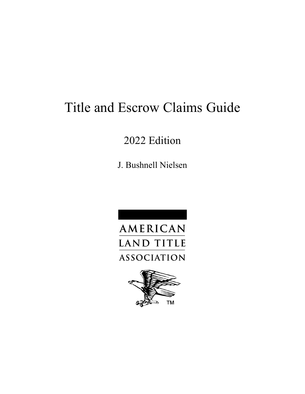# Title and Escrow Claims Guide

## 2022 Edition

J. Bushnell Nielsen



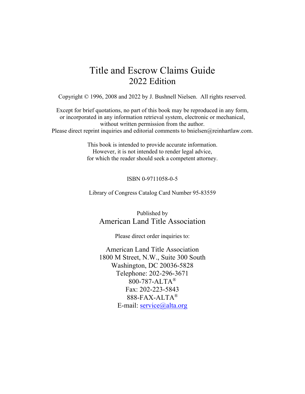### Title and Escrow Claims Guide 2022 Edition

Copyright © 1996, 2008 and 2022 by J. Bushnell Nielsen. All rights reserved.

Except for brief quotations, no part of this book may be reproduced in any form, or incorporated in any information retrieval system, electronic or mechanical, without written permission from the author. Please direct reprint inquiries and editorial comments to bnielsen@reinhartlaw.com.

> This book is intended to provide accurate information. However, it is not intended to render legal advice, for which the reader should seek a competent attorney.

#### ISBN 0-9711058-0-5

Library of Congress Catalog Card Number 95-83559

Published by American Land Title Association

Please direct order inquiries to:

American Land Title Association 1800 M Street, N.W., Suite 300 South Washington, DC 20036-5828 Telephone: 202-296-3671 800-787-ALTA® Fax: 202-223-5843 888-FAX-ALTA® E-mail: [service@alta.org](mailto:service@alta.org)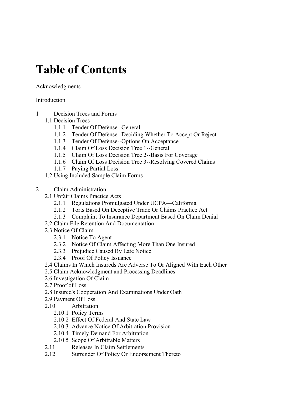# **Table of Contents**

### Acknowledgments

### **Introduction**

- 1 Decision Trees and Forms
	- 1.1 Decision Trees
		- 1.1.1 Tender Of Defense--General
		- 1.1.2 Tender Of Defense--Deciding Whether To Accept Or Reject
		- 1.1.3 Tender Of Defense--Options On Acceptance
		- 1.1.4 Claim Of Loss Decision Tree 1--General
		- 1.1.5 Claim Of Loss Decision Tree 2--Basis For Coverage
		- 1.1.6 Claim Of Loss Decision Tree 3--Resolving Covered Claims
		- 1.1.7 Paying Partial Loss
	- 1.2 Using Included Sample Claim Forms
- 2 Claim Administration
	- 2.1 Unfair Claims Practice Acts
		- 2.1.1 Regulations Promulgated Under UCPA—California
		- 2.1.2 Torts Based On Deceptive Trade Or Claims Practice Act
		- 2.1.3 Complaint To Insurance Department Based On Claim Denial
	- 2.2 Claim File Retention And Documentation
	- 2.3 Notice Of Claim
		- 2.3.1 Notice To Agent
		- 2.3.2 Notice Of Claim Affecting More Than One Insured
		- 2.3.3 Prejudice Caused By Late Notice
		- 2.3.4 Proof Of Policy Issuance
	- 2.4 Claims In Which Insureds Are Adverse To Or Aligned With Each Other
	- 2.5 Claim Acknowledgment and Processing Deadlines
	- 2.6 Investigation Of Claim
	- 2.7 Proof of Loss
	- 2.8 Insured's Cooperation And Examinations Under Oath
	- 2.9 Payment Of Loss
	- 2.10 Arbitration
		- 2.10.1 Policy Terms
		- 2.10.2 Effect Of Federal And State Law
		- 2.10.3 Advance Notice Of Arbitration Provision
		- 2.10.4 Timely Demand For Arbitration
		- 2.10.5 Scope Of Arbitrable Matters
	- 2.11 Releases In Claim Settlements
	- 2.12 Surrender Of Policy Or Endorsement Thereto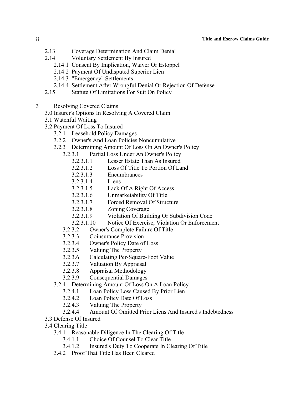- 2.13 Coverage Determination And Claim Denial
- 2.14 Voluntary Settlement By Insured
	- 2.14.1 Consent By Implication, Waiver Or Estoppel
	- 2.14.2 Payment Of Undisputed Superior Lien
	- 2.14.3 "Emergency" Settlements
	- 2.14.4 Settlement After Wrongful Denial Or Rejection Of Defense
- 2.15 Statute Of Limitations For Suit On Policy
- 3 Resolving Covered Claims
	- 3.0 Insurer's Options In Resolving A Covered Claim
	- 3.1 Watchful Waiting
	- 3.2 Payment Of Loss To Insured
		- 3.2.1 Leasehold Policy Damages
		- 3.2.2 Owner's And Loan Policies Noncumulative
		- 3.2.3 Determining Amount Of Loss On An Owner's Policy
			- 3.2.3.1 Partial Loss Under An Owner's Policy
				- 3.2.3.1.1 Lesser Estate Than As Insured
				- 3.2.3.1.2 Loss Of Title To Portion Of Land
				- 3.2.3.1.3 Encumbrances
				- 3.2.3.1.4 Liens
				- 3.2.3.1.5 Lack Of A Right Of Access
				- 3.2.3.1.6 Unmarketability Of Title
				- 3.2.3.1.7 Forced Removal Of Structure
				- 3.2.3.1.8 Zoning Coverage
				- 3.2.3.1.9 Violation Of Building Or Subdivision Code
				- 3.2.3.1.10 Notice Of Exercise, Violation Or Enforcement
			- 3.2.3.2 Owner's Complete Failure Of Title
			- 3.2.3.3 Coinsurance Provision
			- 3.2.3.4 Owner's Policy Date of Loss
			- 3.2.3.5 Valuing The Property
			- 3.2.3.6 Calculating Per-Square-Foot Value
			- 3.2.3.7 Valuation By Appraisal
			- 3.2.3.8 Appraisal Methodology
			- 3.2.3.9 Consequential Damages
		- 3.2.4 Determining Amount Of Loss On A Loan Policy
			- 3.2.4.1 Loan Policy Loss Caused By Prior Lien
			- 3.2.4.2 Loan Policy Date Of Loss
			- 3.2.4.3 Valuing The Property
			- 3.2.4.4 Amount Of Omitted Prior Liens And Insured's Indebtedness
	- 3.3 Defense Of Insured
	- 3.4 Clearing Title
		- 3.4.1 Reasonable Diligence In The Clearing Of Title
			- 3.4.1.1 Choice Of Counsel To Clear Title
			- 3.4.1.2 Insured's Duty To Cooperate In Clearing Of Title
		- 3.4.2 Proof That Title Has Been Cleared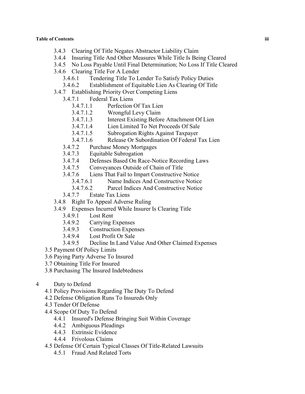- 3.4.3 Clearing Of Title Negates Abstractor Liability Claim
- 3.4.4 Insuring Title And Other Measures While Title Is Being Cleared
- 3.4.5 No Loss Payable Until Final Determination; No Loss If Title Cleared
- 3.4.6 Clearing Title For A Lender
	- 3.4.6.1 Tendering Title To Lender To Satisfy Policy Duties
	- 3.4.6.2 Establishment of Equitable Lien As Clearing Of Title
- 3.4.7 Establishing Priority Over Competing Liens
	- 3.4.7.1 Federal Tax Liens
		- 3.4.7.1.1 Perfection Of Tax Lien
		- 3.4.7.1.2 Wrongful Levy Claim
		- 3.4.7.1.3 Interest Existing Before Attachment Of Lien
		- 3.4.7.1.4 Lien Limited To Net Proceeds Of Sale
		- 3.4.7.1.5 Subrogation Rights Against Taxpayer
		- 3.4.7.1.6 Release Or Subordination Of Federal Tax Lien
	- 3.4.7.2 Purchase Money Mortgages
	- 3.4.7.3 Equitable Subrogation
	- 3.4.7.4 Defenses Based On Race-Notice Recording Laws
	- 3.4.7.5 Conveyances Outside of Chain of Title
	- 3.4.7.6 Liens That Fail to Impart Constructive Notice
		- 3.4.7.6.1 Name Indices And Constructive Notice
		- 3.4.7.6.2 Parcel Indices And Constructive Notice
	- 3.4.7.7 Estate Tax Liens
- 3.4.8 Right To Appeal Adverse Ruling
- 3.4.9 Expenses Incurred While Insurer Is Clearing Title
	- 3.4.9.1 Lost Rent
	- 3.4.9.2 Carrying Expenses
	- 3.4.9.3 Construction Expenses
	- 3.4.9.4 Lost Profit Or Sale
	- 3.4.9.5 Decline In Land Value And Other Claimed Expenses
- 3.5 Payment Of Policy Limits
- 3.6 Paying Party Adverse To Insured
- 3.7 Obtaining Title For Insured
- 3.8 Purchasing The Insured Indebtedness
- 4 Duty to Defend
	- 4.1 Policy Provisions Regarding The Duty To Defend
	- 4.2 Defense Obligation Runs To Insureds Only
	- 4.3 Tender Of Defense
	- 4.4 Scope Of Duty To Defend
		- 4.4.1 Insured's Defense Bringing Suit Within Coverage
		- 4.4.2 Ambiguous Pleadings
		- 4.4.3 Extrinsic Evidence
		- 4.4.4 Frivolous Claims
	- 4.5 Defense Of Certain Typical Classes Of Title-Related Lawsuits
		- 4.5.1 Fraud And Related Torts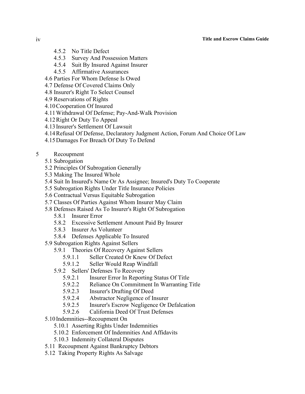#### iv **Title and Escrow Claims Guide**

- 4.5.2 No Title Defect
- 4.5.3 Survey And Possession Matters
- 4.5.4 Suit By Insured Against Insurer
- 4.5.5 Affirmative Assurances
- 4.6 Parties For Whom Defense Is Owed
- 4.7 Defense Of Covered Claims Only
- 4.8 Insurer's Right To Select Counsel
- 4.9 Reservations of Rights
- 4.10Cooperation Of Insured
- 4.11Withdrawal Of Defense; Pay-And-Walk Provision
- 4.12Right Or Duty To Appeal
- 4.13 Insurer's Settlement Of Lawsuit
- 4.14Refusal Of Defense, Declaratory Judgment Action, Forum And Choice Of Law
- 4.15Damages For Breach Of Duty To Defend
- 5 Recoupment
	- 5.1 Subrogation
	- 5.2 Principles Of Subrogation Generally
	- 5.3 Making The Insured Whole
	- 5.4 Suit In Insured's Name Or As Assignee; Insured's Duty To Cooperate
	- 5.5 Subrogation Rights Under Title Insurance Policies
	- 5.6 Contractual Versus Equitable Subrogation
	- 5.7 Classes Of Parties Against Whom Insurer May Claim
	- 5.8 Defenses Raised As To Insurer's Right Of Subrogation
		- 5.8.1 Insurer Error
		- 5.8.2 Excessive Settlement Amount Paid By Insurer
		- 5.8.3 Insurer As Volunteer
		- 5.8.4 Defenses Applicable To Insured
	- 5.9 Subrogation Rights Against Sellers
		- 5.9.1 Theories Of Recovery Against Sellers
			- 5.9.1.1 Seller Created Or Knew Of Defect
			- 5.9.1.2 Seller Would Reap Windfall
		- 5.9.2 Sellers' Defenses To Recovery
			- 5.9.2.1 Insurer Error In Reporting Status Of Title
			- 5.9.2.2 Reliance On Commitment In Warranting Title
			- 5.9.2.3 Insurer's Drafting Of Deed
			- 5.9.2.4 Abstractor Negligence of Insurer
			- 5.9.2.5 Insurer's Escrow Negligence Or Defalcation
			- 5.9.2.6 California Deed Of Trust Defenses
	- 5.10 Indemnities--Recoupment On
		- 5.10.1 Asserting Rights Under Indemnities
		- 5.10.2 Enforcement Of Indemnities And Affidavits
		- 5.10.3 Indemnity Collateral Disputes
	- 5.11 Recoupment Against Bankruptcy Debtors
	- 5.12 Taking Property Rights As Salvage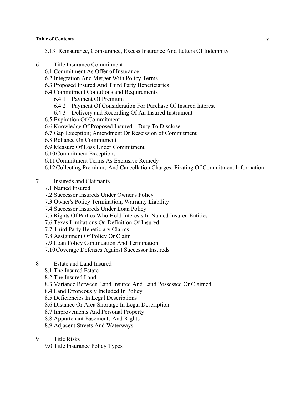#### **Table of Contents v**

- 5.13 Reinsurance, Coinsurance, Excess Insurance And Letters Of Indemnity
- 6 Title Insurance Commitment
	- 6.1 Commitment As Offer of Insurance
	- 6.2 Integration And Merger With Policy Terms
	- 6.3 Proposed Insured And Third Party Beneficiaries
	- 6.4 Commitment Conditions and Requirements
		- 6.4.1 Payment Of Premium
		- 6.4.2 Payment Of Consideration For Purchase Of Insured Interest
		- 6.4.3 Delivery and Recording Of An Insured Instrument
	- 6.5 Expiration Of Commitment
	- 6.6 Knowledge Of Proposed Insured—Duty To Disclose
	- 6.7 Gap Exception; Amendment Or Rescission of Commitment
	- 6.8 Reliance On Commitment
	- 6.9 Measure Of Loss Under Commitment
	- 6.10Commitment Exceptions
	- 6.11Commitment Terms As Exclusive Remedy
	- 6.12Collecting Premiums And Cancellation Charges; Pirating Of Commitment Information
- 7 Insureds and Claimants
	- 7.1 Named Insured
	- 7.2 Successor Insureds Under Owner's Policy
	- 7.3 Owner's Policy Termination; Warranty Liability
	- 7.4 Successor Insureds Under Loan Policy
	- 7.5 Rights Of Parties Who Hold Interests In Named Insured Entities
	- 7.6 Texas Limitations On Definition Of Insured
	- 7.7 Third Party Beneficiary Claims
	- 7.8 Assignment Of Policy Or Claim
	- 7.9 Loan Policy Continuation And Termination
	- 7.10Coverage Defenses Against Successor Insureds
- 8 Estate and Land Insured
	- 8.1 The Insured Estate
	- 8.2 The Insured Land
	- 8.3 Variance Between Land Insured And Land Possessed Or Claimed
	- 8.4 Land Erroneously Included In Policy
	- 8.5 Deficiencies In Legal Descriptions
	- 8.6 Distance Or Area Shortage In Legal Description
	- 8.7 Improvements And Personal Property
	- 8.8 Appurtenant Easements And Rights
	- 8.9 Adjacent Streets And Waterways
- 9 Title Risks
	- 9.0 Title Insurance Policy Types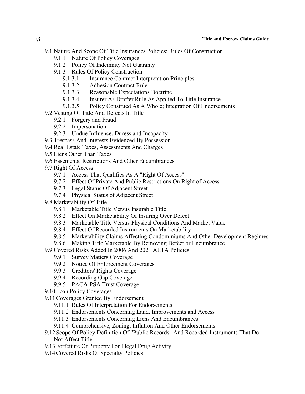- 9.1 Nature And Scope Of Title Insurances Policies; Rules Of Construction
	- 9.1.1 Nature Of Policy Coverages
	- 9.1.2 Policy Of Indemnity Not Guaranty
	- 9.1.3 Rules Of Policy Construction
		- 9.1.3.1 Insurance Contract Interpretation Principles
		- 9.1.3.2 Adhesion Contract Rule
		- 9.1.3.3 Reasonable Expectations Doctrine
		- 9.1.3.4 Insurer As Drafter Rule As Applied To Title Insurance
		- 9.1.3.5 Policy Construed As A Whole; Integration Of Endorsements
- 9.2 Vesting Of Title And Defects In Title
	- 9.2.1 Forgery and Fraud
	- 9.2.2 Impersonation
	- 9.2.3 Undue Influence, Duress and Incapacity
- 9.3 Trespass And Interests Evidenced By Possession
- 9.4 Real Estate Taxes, Assessments And Charges
- 9.5 Liens Other Than Taxes
- 9.6 Easements, Restrictions And Other Encumbrances
- 9.7 Right Of Access
	- 9.7.1 Access That Qualifies As A "Right Of Access"
	- 9.7.2 Effect Of Private And Public Restrictions On Right of Access
	- 9.7.3 Legal Status Of Adjacent Street
	- 9.7.4 Physical Status of Adjacent Street
- 9.8 Marketability Of Title
	- 9.8.1 Marketable Title Versus Insurable Title
	- 9.8.2 Effect On Marketability Of Insuring Over Defect
	- 9.8.3 Marketable Title Versus Physical Conditions And Market Value
	- 9.8.4 Effect Of Recorded Instruments On Marketability
	- 9.8.5 Marketability Claims Affecting Condominiums And Other Development Regimes
	- 9.8.6 Making Title Marketable By Removing Defect or Encumbrance
- 9.9 Covered Risks Added In 2006 And 2021 ALTA Policies
	- 9.9.1 Survey Matters Coverage
	- 9.9.2 Notice Of Enforcement Coverages
	- 9.9.3 Creditors' Rights Coverage
	- 9.9.4 Recording Gap Coverage
	- 9.9.5 PACA-PSA Trust Coverage
- 9.10Loan Policy Coverages
- 9.11Coverages Granted By Endorsement
	- 9.11.1 Rules Of Interpretation For Endorsements
	- 9.11.2 Endorsements Concerning Land, Improvements and Access
	- 9.11.3 Endorsements Concerning Liens And Encumbrances
	- 9.11.4 Comprehensive, Zoning, Inflation And Other Endorsements
- 9.12Scope Of Policy Definition Of "Public Records" And Recorded Instruments That Do Not Affect Title
- 9.13Forfeiture Of Property For Illegal Drug Activity
- 9.14Covered Risks Of Specialty Policies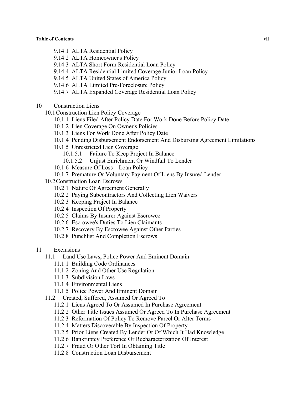- 9.14.1 ALTA Residential Policy
- 9.14.2 ALTA Homeowner's Policy
- 9.14.3 ALTA Short Form Residential Loan Policy
- 9.14.4 ALTA Residential Limited Coverage Junior Loan Policy
- 9.14.5 ALTA United States of America Policy
- 9.14.6 ALTA Limited Pre-Foreclosure Policy
- 9.14.7 ALTA Expanded Coverage Residential Loan Policy
- 10 Construction Liens
	- 10.1Construction Lien Policy Coverage
		- 10.1.1 Liens Filed After Policy Date For Work Done Before Policy Date
		- 10.1.2 Lien Coverage On Owner's Policies
		- 10.1.3 Liens For Work Done After Policy Date
		- 10.1.4 Pending Disbursement Endorsement And Disbursing Agreement Limitations
		- 10.1.5 Unrestricted Lien Coverage
			- 10.1.5.1 Failure To Keep Project In Balance
			- 10.1.5.2 Unjust Enrichment Or Windfall To Lender
		- 10.1.6 Measure Of Loss—Loan Policy
		- 10.1.7 Premature Or Voluntary Payment Of Liens By Insured Lender
	- 10.2Construction Loan Escrows
		- 10.2.1 Nature Of Agreement Generally
		- 10.2.2 Paying Subcontractors And Collecting Lien Waivers
		- 10.2.3 Keeping Project In Balance
		- 10.2.4 Inspection Of Property
		- 10.2.5 Claims By Insurer Against Escrowee
		- 10.2.6 Escrowee's Duties To Lien Claimants
		- 10.2.7 Recovery By Escrowee Against Other Parties
		- 10.2.8 Punchlist And Completion Escrows
- 11 Exclusions
	- 11.1 Land Use Laws, Police Power And Eminent Domain
		- 11.1.1 Building Code Ordinances
		- 11.1.2 Zoning And Other Use Regulation
		- 11.1.3 Subdivision Laws
		- 11.1.4 Environmental Liens
		- 11.1.5 Police Power And Eminent Domain
	- 11.2 Created, Suffered, Assumed Or Agreed To
		- 11.2.1 Liens Agreed To Or Assumed In Purchase Agreement
		- 11.2.2 Other Title Issues Assumed Or Agreed To In Purchase Agreement
		- 11.2.3 Reformation Of Policy To Remove Parcel Or Alter Terms
		- 11.2.4 Matters Discoverable By Inspection Of Property
		- 11.2.5 Prior Liens Created By Lender Or Of Which It Had Knowledge
		- 11.2.6 Bankruptcy Preference Or Recharacterization Of Interest
		- 11.2.7 Fraud Or Other Tort In Obtaining Title
		- 11.2.8 Construction Loan Disbursement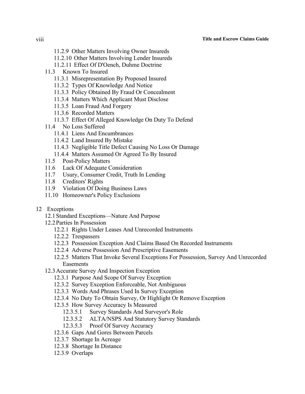#### viii **Title and Escrow Claims Guide**

- 11.2.9 Other Matters Involving Owner Insureds
- 11.2.10 Other Matters Involving Lender Insureds
- 11.2.11 Effect Of D'Oench, Duhme Doctrine
- 11.3 Known To Insured
	- 11.3.1 Misrepresentation By Proposed Insured
	- 11.3.2 Types Of Knowledge And Notice
	- 11.3.3 Policy Obtained By Fraud Or Concealment
	- 11.3.4 Matters Which Applicant Must Disclose
	- 11.3.5 Loan Fraud And Forgery
	- 11.3.6 Recorded Matters
	- 11.3.7 Effect Of Alleged Knowledge On Duty To Defend
- 11.4 No Loss Suffered
	- 11.4.1 Liens And Encumbrances
	- 11.4.2 Land Insured By Mistake
	- 11.4.3 Negligible Title Defect Causing No Loss Or Damage
	- 11.4.4 Matters Assumed Or Agreed To By Insured
- 11.5 Post-Policy Matters
- 11.6 Lack Of Adequate Consideration
- 11.7 Usury, Consumer Credit, Truth In Lending
- 11.8 Creditors' Rights
- 11.9 Violation Of Doing Business Laws
- 11.10 Homeowner's Policy Exclusions
- 12 Exceptions
	- 12.1Standard Exceptions—Nature And Purpose
	- 12.2Parties In Possession
		- 12.2.1 Rights Under Leases And Unrecorded Instruments
		- 12.2.2 Trespassers
		- 12.2.3 Possession Exception And Claims Based On Recorded Instruments
		- 12.2.4 Adverse Possession And Prescriptive Easements
		- 12.2.5 Matters That Invoke Several Exceptions For Possession, Survey And Unrecorded Easements
	- 12.3Accurate Survey And Inspection Exception
		- 12.3.1 Purpose And Scope Of Survey Exception
		- 12.3.2 Survey Exception Enforceable, Not Ambiguous
		- 12.3.3 Words And Phrases Used In Survey Exception
		- 12.3.4 No Duty To Obtain Survey, Or Highlight Or Remove Exception
		- 12.3.5 How Survey Accuracy Is Measured
			- 12.3.5.1 Survey Standards And Surveyor's Role
			- 12.3.5.2 ALTA/NSPS And Statutory Survey Standards
			- 12.3.5.3 Proof Of Survey Accuracy
		- 12.3.6 Gaps And Gores Between Parcels
		- 12.3.7 Shortage In Acreage
		- 12.3.8 Shortage In Distance
		- 12.3.9 Overlaps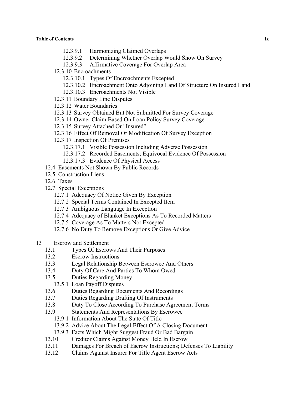- 12.3.9.1 Harmonizing Claimed Overlaps
- 12.3.9.2 Determining Whether Overlap Would Show On Survey
- 12.3.9.3 Affirmative Coverage For Overlap Area
- 12.3.10 Encroachments
	- 12.3.10.1 Types Of Encroachments Excepted
	- 12.3.10.2 Encroachment Onto Adjoining Land Of Structure On Insured Land
	- 12.3.10.3 Encroachments Not Visible
- 12.3.11 Boundary Line Disputes
- 12.3.12 Water Boundaries
- 12.3.13 Survey Obtained But Not Submitted For Survey Coverage
- 12.3.14 Owner Claim Based On Loan Policy Survey Coverage
- 12.3.15 Survey Attached Or "Insured"
- 12.3.16 Effect Of Removal Or Modification Of Survey Exception
- 12.3.17 Inspection Of Premises
	- 12.3.17.1 Visible Possession Including Adverse Possession
	- 12.3.17.2 Recorded Easements; Equivocal Evidence Of Possession
	- 12.3.17.3 Evidence Of Physical Access
- 12.4 Easements Not Shown By Public Records
- 12.5 Construction Liens
- 12.6 Taxes
- 12.7 Special Exceptions
	- 12.7.1 Adequacy Of Notice Given By Exception
	- 12.7.2 Special Terms Contained In Excepted Item
	- 12.7.3 Ambiguous Language In Exception
	- 12.7.4 Adequacy of Blanket Exceptions As To Recorded Matters
	- 12.7.5 Coverage As To Matters Not Excepted
	- 12.7.6 No Duty To Remove Exceptions Or Give Advice
- 13 Escrow and Settlement
	- 13.1 Types Of Escrows And Their Purposes
	- 13.2 Escrow Instructions
	- 13.3 Legal Relationship Between Escrowee And Others
	- 13.4 Duty Of Care And Parties To Whom Owed
	- 13.5 Duties Regarding Money
	- 13.5.1 Loan Payoff Disputes
	- 13.6 Duties Regarding Documents And Recordings
	- 13.7 Duties Regarding Drafting Of Instruments
	- 13.8 Duty To Close According To Purchase Agreement Terms
	- 13.9 Statements And Representations By Escrowee
		- 13.9.1 Information About The State Of Title
		- 13.9.2 Advice About The Legal Effect Of A Closing Document
		- 13.9.3 Facts Which Might Suggest Fraud Or Bad Bargain
	- 13.10 Creditor Claims Against Money Held In Escrow
	- 13.11 Damages For Breach of Escrow Instructions; Defenses To Liability
	- 13.12 Claims Against Insurer For Title Agent Escrow Acts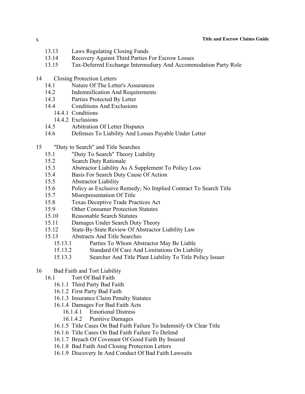#### x **Title and Escrow Claims Guide**

- 13.13 Laws Regulating Closing Funds
- 13.14 Recovery Against Third Parties For Escrow Losses
- 13.15 Tax-Deferred Exchange Intermediary And Accommodation Party Role
- 14 Closing Protection Letters
	- 14.1 Nature Of The Letter's Assurances
	- 14.2 Indemnification And Requirements
	- 14.3 Parties Protected By Letter
	- 14.4 Conditions And Exclusions
		- 14.4.1 Conditions
			- 14.4.2 Exclusions
	- 14.5 Arbitration Of Letter Disputes
	- 14.6 Defenses To Liability And Losses Payable Under Letter
- 15 "Duty to Search" and Title Searches
	- 15.1 "Duty To Search" Theory Liability
	- 15.2 Search Duty Rationale
	- 15.3 Abstractor Liability As A Supplement To Policy Loss
	- 15.4 Basis For Search Duty Cause Of Action
	- 15.5 Abstractor Liability
	- 15.6 Policy as Exclusive Remedy; No Implied Contract To Search Title
	- 15.7 Misrepresentation Of Title
	- 15.8 Texas Deceptive Trade Practices Act
	- 15.9 Other Consumer Protection Statutes
	- 15.10 Reasonable Search Statutes
	- 15.11 Damages Under Search Duty Theory
	- 15.12 State-By-State Review Of Abstractor Liability Law
	- 15.13 Abstracts And Title Searches
		- 15.13.1 Parties To Whom Abstractor May Be Liable
		- 15.13.2 Standard Of Care And Limitations On Liability
		- 15.13.3 Searcher And Title Plant Liability To Title Policy Issuer
- 16 Bad Faith and Tort Liability
	- 16.1 Tort Of Bad Faith
		- 16.1.1 Third Party Bad Faith
		- 16.1.2 First Party Bad Faith
		- 16.1.3 Insurance Claim Penalty Statutes
		- 16.1.4 Damages For Bad Faith Acts
			- 16.1.4.1 Emotional Distress
			- 16.1.4.2 Punitive Damages
		- 16.1.5 Title Cases On Bad Faith Failure To Indemnify Or Clear Title
		- 16.1.6 Title Cases On Bad Faith Failure To Defend
		- 16.1.7 Breach Of Covenant Of Good Faith By Insured
		- 16.1.8 Bad Faith And Closing Protection Letters
		- 16.1.9 Discovery In And Conduct Of Bad Faith Lawsuits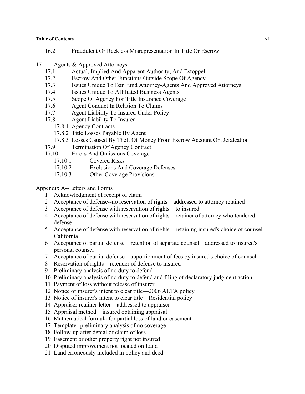#### **Table of Contents xi**

- 16.2 Fraudulent Or Reckless Misrepresentation In Title Or Escrow
- 17 Agents & Approved Attorneys
	- 17.1 Actual, Implied And Apparent Authority, And Estoppel
	- 17.2 Escrow And Other Functions Outside Scope Of Agency
	- 17.3 Issues Unique To Bar Fund Attorney-Agents And Approved Attorneys
	- 17.4 Issues Unique To Affiliated Business Agents
	- 17.5 Scope Of Agency For Title Insurance Coverage
	- 17.6 Agent Conduct In Relation To Claims
	- 17.7 Agent Liability To Insured Under Policy
	- 17.8 Agent Liability To Insurer
		- 17.8.1 Agency Contracts
		- 17.8.2 Title Losses Payable By Agent
		- 17.8.3 Losses Caused By Theft Of Money From Escrow Account Or Defalcation
	- 17.9 Termination Of Agency Contract
	- 17.10 Errors And Omissions Coverage
		- 17.10.1 Covered Risks
		- 17.10.2 Exclusions And Coverage Defenses
		- 17.10.3 Other Coverage Provisions

#### Appendix A--Letters and Forms

- 1 Acknowledgment of receipt of claim
- 2 Acceptance of defense--no reservation of rights—addressed to attorney retained
- 3 Acceptance of defense with reservation of rights—to insured
- 4 Acceptance of defense with reservation of rights—retainer of attorney who tendered defense
- 5 Acceptance of defense with reservation of rights—retaining insured's choice of counsel— California
- 6 Acceptance of partial defense—retention of separate counsel—addressed to insured's personal counsel
- 7 Acceptance of partial defense—apportionment of fees by insured's choice of counsel
- 8 Reservation of rights—retender of defense to insured
- 9 Preliminary analysis of no duty to defend
- 10 Preliminary analysis of no duty to defend and filing of declaratory judgment action
- 11 Payment of loss without release of insurer
- 12 Notice of insurer's intent to clear title—2006 ALTA policy
- 13 Notice of insurer's intent to clear title—Residential policy
- 14 Appraiser retainer letter—addressed to appraiser
- 15 Appraisal method—insured obtaining appraisal
- 16 Mathematical formula for partial loss of land or easement
- 17 Template--preliminary analysis of no coverage
- 18 Follow-up after denial of claim of loss
- 19 Easement or other property right not insured
- 20 Disputed improvement not located on Land
- 21 Land erroneously included in policy and deed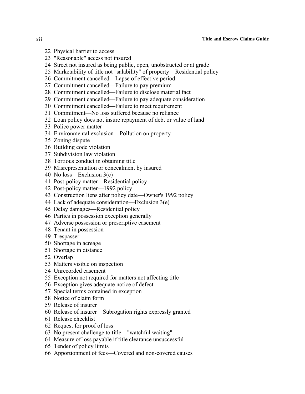#### xii **Title and Escrow Claims Guide**

- Physical barrier to access
- "Reasonable" access not insured
- Street not insured as being public, open, unobstructed or at grade
- Marketability of title not "salability" of property—Residential policy
- Commitment cancelled—Lapse of effective period
- Commitment cancelled—Failure to pay premium
- Commitment cancelled—Failure to disclose material fact
- Commitment cancelled—Failure to pay adequate consideration
- Commitment cancelled—Failure to meet requirement
- Commitment—No loss suffered because no reliance
- Loan policy does not insure repayment of debt or value of land
- Police power matter
- Environmental exclusion—Pollution on property
- Zoning dispute
- Building code violation
- Subdivision law violation
- Tortious conduct in obtaining title
- Misrepresentation or concealment by insured
- No loss—Exclusion 3(c)
- Post-policy matter—Residential policy
- Post-policy matter—1992 policy
- Construction liens after policy date—Owner's 1992 policy
- Lack of adequate consideration—Exclusion 3(e)
- Delay damages—Residential policy
- Parties in possession exception generally
- Adverse possession or prescriptive easement
- Tenant in possession
- Trespasser
- Shortage in acreage
- Shortage in distance
- Overlap
- Matters visible on inspection
- Unrecorded easement
- Exception not required for matters not affecting title
- Exception gives adequate notice of defect
- Special terms contained in exception
- Notice of claim form
- Release of insurer
- Release of insurer—Subrogation rights expressly granted
- Release checklist
- Request for proof of loss
- No present challenge to title—"watchful waiting"
- Measure of loss payable if title clearance unsuccessful
- Tender of policy limits
- Apportionment of fees—Covered and non-covered causes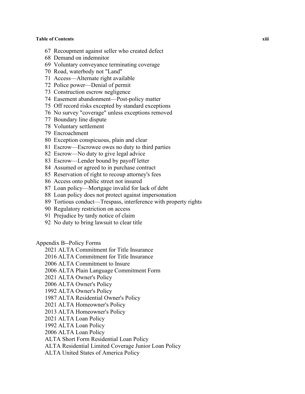#### **Table of Contents xiii**

- Recoupment against seller who created defect
- Demand on indemnitor
- Voluntary conveyance terminating coverage
- Road, waterbody not "Land"
- Access—Alternate right available
- Police power—Denial of permit
- Construction escrow negligence
- Easement abandonment—Post-policy matter
- Off record risks excepted by standard exceptions
- No survey "coverage" unless exceptions removed
- Boundary line dispute
- Voluntary settlement
- Encroachment
- Exception conspicuous, plain and clear
- Escrow—Escrowee owes no duty to third parties
- Escrow—No duty to give legal advice
- Escrow—Lender bound by payoff letter
- Assumed or agreed to in purchase contract
- Reservation of right to recoup attorney's fees
- Access onto public street not insured
- Loan policy—Mortgage invalid for lack of debt
- Loan policy does not protect against impersonation
- Tortious conduct—Trespass, interference with property rights
- Regulatory restriction on access
- Prejudice by tardy notice of claim
- No duty to bring lawsuit to clear title

#### Appendix B--Policy Forms

- ALTA Commitment for Title Insurance
- ALTA Commitment for Title Insurance
- ALTA Commitment to Insure
- 2006 ALTA Plain Language Commitment Form
- ALTA Owner's Policy
- 2006 ALTA Owner's Policy
- 1992 ALTA Owner's Policy
- 1987 ALTA Residential Owner's Policy
- ALTA Homeowner's Policy
- 2013 ALTA Homeowner's Policy
- ALTA Loan Policy
- 1992 ALTA Loan Policy
- 2006 ALTA Loan Policy
- ALTA Short Form Residential Loan Policy
- ALTA Residential Limited Coverage Junior Loan Policy
- ALTA United States of America Policy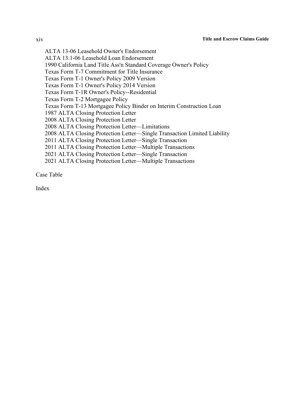ALTA 13-06 Leasehold Owner's Endorsement ALTA 13.1-06 Leasehold Loan Endorsement 1990 California Land Title Ass'n Standard Coverage Owner's Policy Texas Form T-7 Commitment for Title Insurance Texas Form T-1 Owner's Policy 2009 Version Texas Form T-1 Owner's Policy 2014 Version Texas Form T-1R Owner's Policy--Residential Texas Form T-2 Mortgagee Policy Texas Form T-13 Mortgagee Policy Binder on Interim Construction Loan 1987 ALTA Closing Protection Letter 2008 ALTA Closing Protection Letter 2008 ALTA Closing Protection Letter—Limitations 2008 ALTA Closing Protection Letter—Single Transaction Limited Liability 2011 ALTA Closing Protection Letter—Single Transaction 2011 ALTA Closing Protection Letter—Multiple Transactions 2021 ALTA Closing Protection Letter—Single Transaction 2021 ALTA Closing Protection Letter—Multiple Transactions

Case Table

Index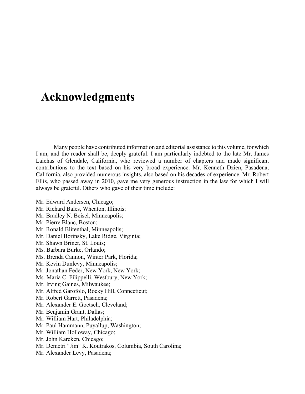## **Acknowledgments**

Many people have contributed information and editorial assistance to this volume, for which I am, and the reader shall be, deeply grateful. I am particularly indebted to the late Mr. James Laichas of Glendale, California, who reviewed a number of chapters and made significant contributions to the text based on his very broad experience. Mr. Kenneth Dzien, Pasadena, California, also provided numerous insights, also based on his decades of experience. Mr. Robert Ellis, who passed away in 2010, gave me very generous instruction in the law for which I will always be grateful. Others who gave of their time include:

Mr. Edward Andersen, Chicago; Mr. Richard Bales, Wheaton, Illinois; Mr. Bradley N. Beisel, Minneapolis; Mr. Pierre Blanc, Boston; Mr. Ronald Blitenthal, Minneapolis; Mr. Daniel Borinsky, Lake Ridge, Virginia; Mr. Shawn Briner, St. Louis; Ms. Barbara Burke, Orlando; Ms. Brenda Cannon, Winter Park, Florida; Mr. Kevin Dunlevy, Minneapolis; Mr. Jonathan Feder, New York, New York; Ms. Maria C. Filippelli, Westbury, New York; Mr. Irving Gaines, Milwaukee; Mr. Alfred Garofolo, Rocky Hill, Connecticut; Mr. Robert Garrett, Pasadena; Mr. Alexander E. Goetsch, Cleveland; Mr. Benjamin Grant, Dallas; Mr. William Hart, Philadelphia; Mr. Paul Hammann, Puyallup, Washington; Mr. William Holloway, Chicago; Mr. John Kareken, Chicago; Mr. Demetri "Jim" K. Koutrakos, Columbia, South Carolina; Mr. Alexander Levy, Pasadena;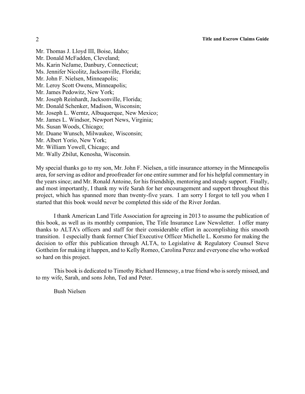Mr. Thomas J. Lloyd III, Boise, Idaho; Mr. Donald McFadden, Cleveland; Ms. Karin NeJame, Danbury, Connecticut; Ms. Jennifer Nicolitz, Jacksonville, Florida; Mr. John F. Nielsen, Minneapolis; Mr. Leroy Scott Owens, Minneapolis; Mr. James Pedowitz, New York; Mr. Joseph Reinhardt, Jacksonville, Florida; Mr. Donald Schenker, Madison, Wisconsin; Mr. Joseph L. Werntz, Albuquerque, New Mexico; Mr. James L. Windsor, Newport News, Virginia; Ms. Susan Woods, Chicago; Mr. Duane Wunsch, Milwaukee, Wisconsin; Mr. Albert Yorio, New York; Mr. William Yowell, Chicago; and Mr. Wally Zbilut, Kenosha, Wisconsin.

My special thanks go to my son, Mr. John F. Nielsen, a title insurance attorney in the Minneapolis area, for serving as editor and proofreader for one entire summer and for his helpful commentary in the years since; and Mr. Ronald Antoine, for his friendship, mentoring and steady support. Finally, and most importantly, I thank my wife Sarah for her encouragement and support throughout this project, which has spanned more than twenty-five years. I am sorry I forgot to tell you when I started that this book would never be completed this side of the River Jordan.

I thank American Land Title Association for agreeing in 2013 to assume the publication of this book, as well as its monthly companion, The Title Insurance Law Newsletter. I offer many thanks to ALTA's officers and staff for their considerable effort in accomplishing this smooth transition. I especially thank former Chief Executive Officer Michelle L. Korsmo for making the decision to offer this publication through ALTA, to Legislative & Regulatory Counsel Steve Gottheim for making it happen, and to Kelly Romeo, Carolina Perez and everyone else who worked so hard on this project.

This book is dedicated to Timothy Richard Hennessy, a true friend who is sorely missed, and to my wife, Sarah, and sons John, Ted and Peter.

Bush Nielsen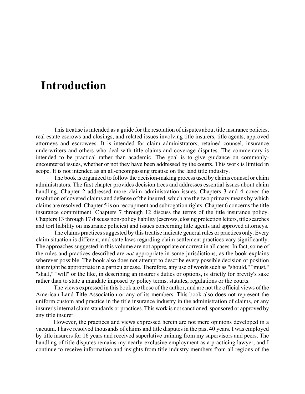## **Introduction**

This treatise is intended as a guide for the resolution of disputes about title insurance policies, real estate escrows and closings, and related issues involving title insurers, title agents, approved attorneys and escrowees. It is intended for claim administrators, retained counsel, insurance underwriters and others who deal with title claims and coverage disputes. The commentary is intended to be practical rather than academic. The goal is to give guidance on commonlyencountered issues, whether or not they have been addressed by the courts. This work is limited in scope. It is not intended as an all-encompassing treatise on the land title industry.

The book is organized to follow the decision-making process used by claims counsel or claim administrators. The first chapter provides decision trees and addresses essential issues about claim handling. Chapter 2 addressed more claim administration issues. Chapters 3 and 4 cover the resolution of covered claims and defense of the insured, which are the two primary means by which claims are resolved. Chapter 5 is on recoupment and subrogation rights. Chapter 6 concerns the title insurance commitment. Chapters 7 through 12 discuss the terms of the title insurance policy. Chapters 13 through 17 discuss non-policy liability (escrows, closing protection letters, title searches and tort liability on insurance policies) and issues concerning title agents and approved attorneys.

The claims practices suggested by this treatise indicate general rules or practices only. Every claim situation is different, and state laws regarding claim settlement practices vary significantly. The approaches suggested in this volume are not appropriate or correct in all cases. In fact, some of the rules and practices described are *not* appropriate in some jurisdictions, as the book explains wherever possible. The book also does not attempt to describe every possible decision or position that might be appropriate in a particular case. Therefore, any use of words such as "should," "must," "shall," "will" or the like, in describing an insurer's duties or options, is strictly for brevity's sake rather than to state a mandate imposed by policy terms, statutes, regulations or the courts.

The views expressed in this book are those of the author, and are not the official views of the American Land Title Association or any of its members. This book also does not represent the uniform custom and practice in the title insurance industry in the administration of claims, or any insurer's internal claim standards or practices. This work is not sanctioned, sponsored or approved by any title insurer.

However, the practices and views expressed herein are not mere opinions developed in a vacuum. I have resolved thousands of claims and title disputes in the past 40 years. I was employed by title insurers for 16 years and received superlative training from my supervisors and peers. The handling of title disputes remains my nearly-exclusive employment as a practicing lawyer, and I continue to receive information and insights from title industry members from all regions of the